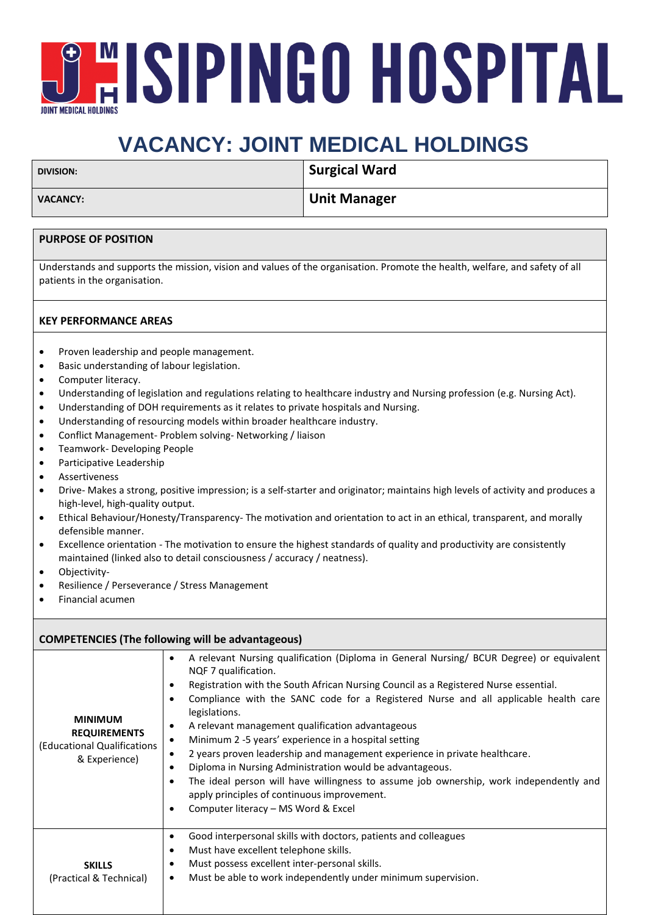# **JEISPINGO HOSPITAL JOINT MEDICAL HOLDING**

## **VACANCY: JOINT MEDICAL HOLDINGS**

| <b>DIVISION:</b> | Surgical Ward |
|------------------|---------------|
| <b>VACANCY:</b>  | Unit Manager  |
|                  |               |

### **PURPOSE OF POSITION**

Understands and supports the mission, vision and values of the organisation. Promote the health, welfare, and safety of all patients in the organisation.

### **KEY PERFORMANCE AREAS**

- Proven leadership and people management.
- Basic understanding of labour legislation.
- Computer literacy.
- Understanding of legislation and regulations relating to healthcare industry and Nursing profession (e.g. Nursing Act).
- Understanding of DOH requirements as it relates to private hospitals and Nursing.
- Understanding of resourcing models within broader healthcare industry.
- Conflict Management- Problem solving- Networking / liaison
- Teamwork- Developing People
- Participative Leadership
- **Assertiveness**
- Drive- Makes a strong, positive impression; is a self-starter and originator; maintains high levels of activity and produces a high-level, high-quality output.
- Ethical Behaviour/Honesty/Transparency- The motivation and orientation to act in an ethical, transparent, and morally defensible manner.
- Excellence orientation The motivation to ensure the highest standards of quality and productivity are consistently maintained (linked also to detail consciousness / accuracy / neatness).
- Objectivity-
- Resilience / Perseverance / Stress Management
- Financial acumen

#### **COMPETENCIES (The following will be advantageous) MINIMUM REQUIREMENTS** (Educational Qualifications & Experience) • A relevant Nursing qualification (Diploma in General Nursing/ BCUR Degree) or equivalent NQF 7 qualification. • Registration with the South African Nursing Council as a Registered Nurse essential. • Compliance with the SANC code for a Registered Nurse and all applicable health care legislations. • A relevant management qualification advantageous • Minimum 2 -5 years' experience in a hospital setting • 2 years proven leadership and management experience in private healthcare. • Diploma in Nursing Administration would be advantageous. • The ideal person will have willingness to assume job ownership, work independently and apply principles of continuous improvement. • Computer literacy – MS Word & Excel **SKILLS** (Practical & Technical) • Good interpersonal skills with doctors, patients and colleagues • Must have excellent telephone skills. • Must possess excellent inter-personal skills. • Must be able to work independently under minimum supervision.